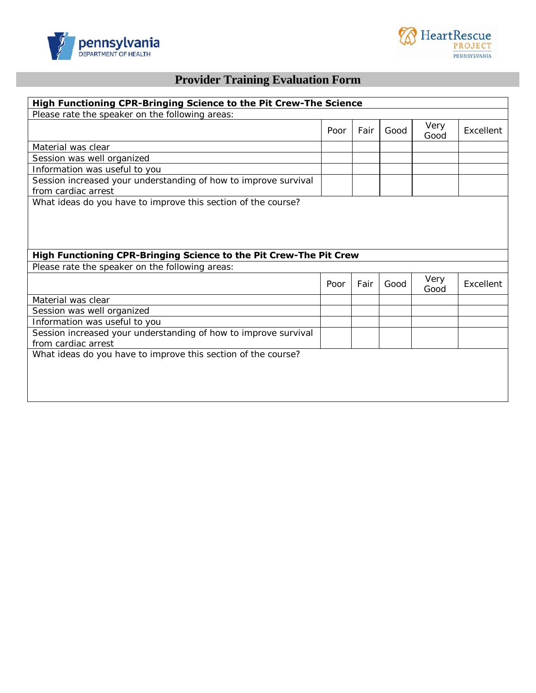



# **Provider Training Evaluation Form**

| High Functioning CPR-Bringing Science to the Pit Crew-The Science                      |      |      |      |              |           |
|----------------------------------------------------------------------------------------|------|------|------|--------------|-----------|
| Please rate the speaker on the following areas:                                        |      |      |      |              |           |
|                                                                                        | Poor | Fair | Good | Very<br>Good | Excellent |
| Material was clear                                                                     |      |      |      |              |           |
| Session was well organized                                                             |      |      |      |              |           |
| Information was useful to you                                                          |      |      |      |              |           |
| Session increased your understanding of how to improve survival<br>from cardiac arrest |      |      |      |              |           |
| What ideas do you have to improve this section of the course?                          |      |      |      |              |           |
|                                                                                        |      |      |      |              |           |
|                                                                                        |      |      |      |              |           |
|                                                                                        |      |      |      |              |           |
|                                                                                        |      |      |      |              |           |
|                                                                                        |      |      |      |              |           |
| High Functioning CPR-Bringing Science to the Pit Crew-The Pit Crew                     |      |      |      |              |           |
| Please rate the speaker on the following areas:                                        |      |      |      |              |           |
|                                                                                        | Poor | Fair | Good | Very<br>Good | Excellent |
| Material was clear                                                                     |      |      |      |              |           |
| Session was well organized                                                             |      |      |      |              |           |
| Information was useful to you                                                          |      |      |      |              |           |
| Session increased your understanding of how to improve survival                        |      |      |      |              |           |
| from cardiac arrest                                                                    |      |      |      |              |           |
| What ideas do you have to improve this section of the course?                          |      |      |      |              |           |
|                                                                                        |      |      |      |              |           |
|                                                                                        |      |      |      |              |           |
|                                                                                        |      |      |      |              |           |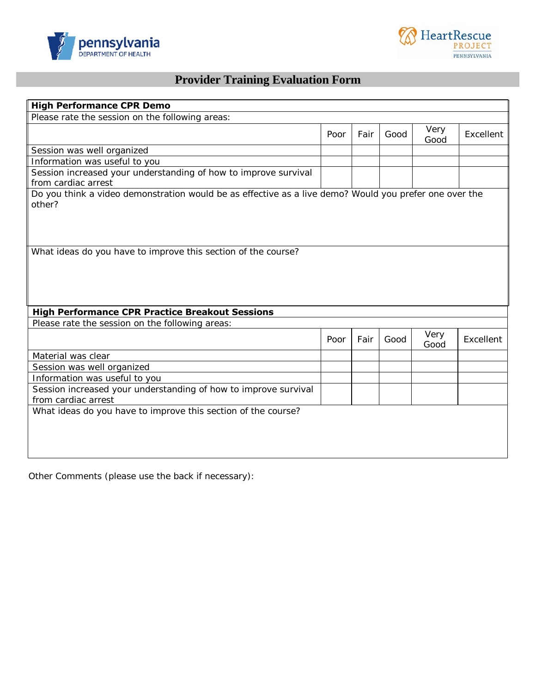



# **Provider Training Evaluation Form**

| <b>High Performance CPR Demo</b>                                                                       |      |      |      |              |           |
|--------------------------------------------------------------------------------------------------------|------|------|------|--------------|-----------|
| Please rate the session on the following areas:                                                        |      |      |      |              |           |
|                                                                                                        | Poor | Fair | Good | Very<br>Good | Excellent |
| Session was well organized                                                                             |      |      |      |              |           |
| Information was useful to you                                                                          |      |      |      |              |           |
| Session increased your understanding of how to improve survival                                        |      |      |      |              |           |
| from cardiac arrest                                                                                    |      |      |      |              |           |
| Do you think a video demonstration would be as effective as a live demo? Would you prefer one over the |      |      |      |              |           |
| other?                                                                                                 |      |      |      |              |           |
|                                                                                                        |      |      |      |              |           |
|                                                                                                        |      |      |      |              |           |
|                                                                                                        |      |      |      |              |           |
| What ideas do you have to improve this section of the course?                                          |      |      |      |              |           |
|                                                                                                        |      |      |      |              |           |
|                                                                                                        |      |      |      |              |           |
|                                                                                                        |      |      |      |              |           |
|                                                                                                        |      |      |      |              |           |
| <b>High Performance CPR Practice Breakout Sessions</b>                                                 |      |      |      |              |           |
| Please rate the session on the following areas:                                                        |      |      |      |              |           |
|                                                                                                        |      |      |      | Very         |           |
|                                                                                                        | Poor | Fair | Good | Good         | Excellent |
| Material was clear                                                                                     |      |      |      |              |           |
| Session was well organized                                                                             |      |      |      |              |           |
| Information was useful to you                                                                          |      |      |      |              |           |
| Session increased your understanding of how to improve survival                                        |      |      |      |              |           |
| from cardiac arrest                                                                                    |      |      |      |              |           |
| What ideas do you have to improve this section of the course?                                          |      |      |      |              |           |
|                                                                                                        |      |      |      |              |           |
|                                                                                                        |      |      |      |              |           |
|                                                                                                        |      |      |      |              |           |
|                                                                                                        |      |      |      |              |           |

Other Comments (please use the back if necessary):